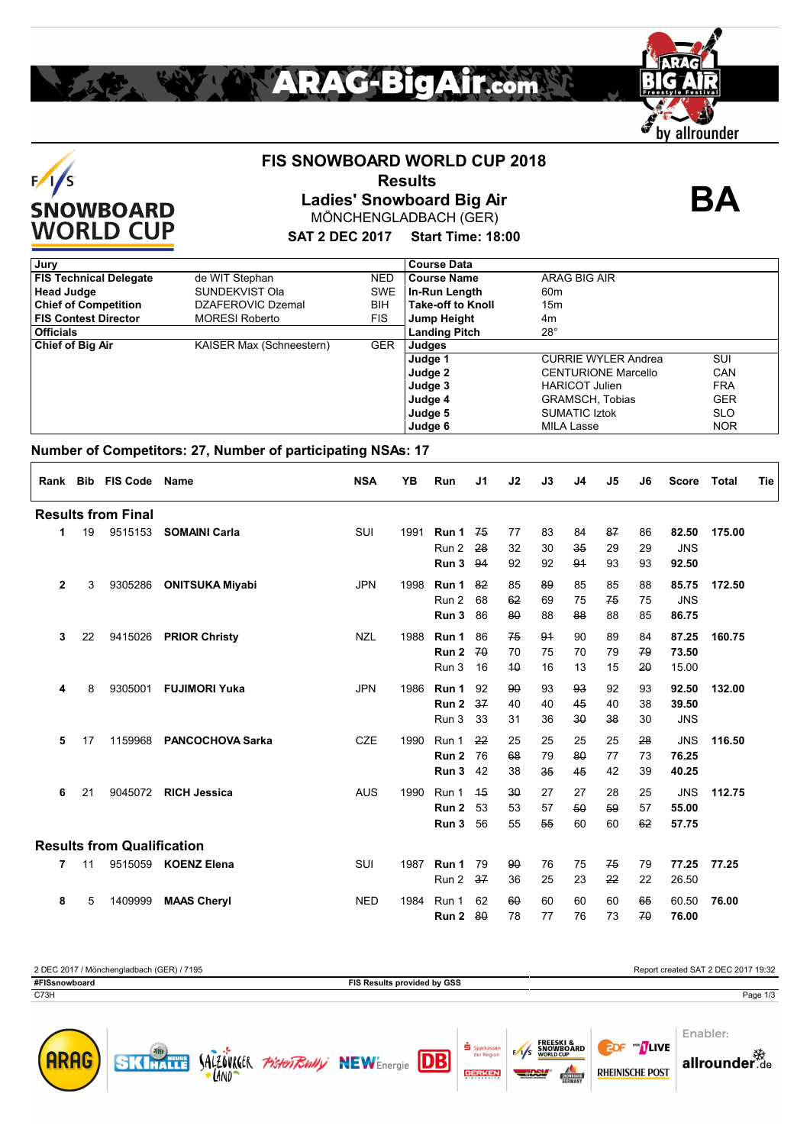### **FIS SNOWBOARD WORLD CUP 2018**

 **Results**

**Ladies' Snowboard Big Air** MÖNCHENGLADBACH (GER) **BA**

### **SAT 2 DEC 2017 Start Time: 18:00**

| Jury                          |                          |            | <b>Course Data</b>       |                            |            |
|-------------------------------|--------------------------|------------|--------------------------|----------------------------|------------|
| <b>FIS Technical Delegate</b> | de WIT Stephan           | NED.       | <b>Course Name</b>       | ARAG BIG AIR               |            |
| <b>Head Judge</b>             | SUNDEKVIST Ola           | SWE        | In-Run Length            | 60m                        |            |
| <b>Chief of Competition</b>   | DZAFEROVIC Dzemal        | <b>BIH</b> | <b>Take-off to Knoll</b> | 15m                        |            |
| <b>FIS Contest Director</b>   | <b>MORESI Roberto</b>    | <b>FIS</b> | Jump Height              | 4m                         |            |
| <b>Officials</b>              |                          |            | <b>Landing Pitch</b>     | $28^\circ$                 |            |
| <b>Chief of Big Air</b>       | KAISER Max (Schneestern) | <b>GER</b> | Judges                   |                            |            |
|                               |                          |            | Judge 1                  | <b>CURRIE WYLER Andrea</b> | SUI        |
|                               |                          |            | Judge 2                  | <b>CENTURIONE Marcello</b> | CAN        |
|                               |                          |            | Judge 3                  | <b>HARICOT Julien</b>      | <b>FRA</b> |
|                               |                          |            | Judge 4                  | GRAMSCH, Tobias            | <b>GER</b> |
|                               |                          |            | Judge 5                  | <b>SUMATIC Iztok</b>       | <b>SLO</b> |
|                               |                          |            | Judge 6                  | <b>MILA Lasse</b>          | <b>NOR</b> |

### **Number of Competitors: 27, Number of participating NSAs: 17**

| Rank         |    | <b>Bib FIS Code Name</b>          |                         | <b>NSA</b> | YB   | Run            | J <sub>1</sub> | J2           | J3       | J <sub>4</sub> | J5       | J6       | <b>Score</b>        | Total  | Tie |
|--------------|----|-----------------------------------|-------------------------|------------|------|----------------|----------------|--------------|----------|----------------|----------|----------|---------------------|--------|-----|
|              |    | <b>Results from Final</b>         |                         |            |      |                |                |              |          |                |          |          |                     |        |     |
| 1            | 19 | 9515153                           | <b>SOMAINI Carla</b>    | SUI        | 1991 | Run 1          | 75             | 77           | 83       | 84             | 87       | 86       | 82.50               | 175.00 |     |
|              |    |                                   |                         |            |      | Run 2          | 28             | 32           | 30       | 35             | 29       | 29       | <b>JNS</b>          |        |     |
|              |    |                                   |                         |            |      | Run 3          | 94             | 92           | 92       | 91             | 93       | 93       | 92.50               |        |     |
| $\mathbf{2}$ | 3  | 9305286                           | <b>ONITSUKA Miyabi</b>  | <b>JPN</b> | 1998 | Run 1          | 82             | 85           | 89       | 85             | 85       | 88       | 85.75               | 172.50 |     |
|              |    |                                   |                         |            |      | Run 2          | 68             | 62           | 69       | 75             | 75       | 75       | <b>JNS</b>          |        |     |
|              |    |                                   |                         |            |      | Run 3          | 86             | 80           | 88       | 88             | 88       | 85       | 86.75               |        |     |
| 3            | 22 | 9415026                           | <b>PRIOR Christy</b>    | <b>NZL</b> | 1988 | Run 1          | 86             | 75           | 94       | 90             | 89       | 84       | 87.25               | 160.75 |     |
|              |    |                                   |                         |            |      | Run 2          | 70             | 70           | 75       | 70             | 79       | 79       | 73.50               |        |     |
|              |    |                                   |                         |            |      | Run 3          | 16             | 40           | 16       | 13             | 15       | 20       | 15.00               |        |     |
|              |    |                                   |                         |            |      |                |                |              |          |                |          |          |                     |        |     |
| 4            | 8  | 9305001                           | <b>FUJIMORI Yuka</b>    | <b>JPN</b> | 1986 | Run 1          | 92             | 90           | 93       | 93             | 92       | 93       | 92.50               | 132.00 |     |
|              |    |                                   |                         |            |      | Run 2<br>Run 3 | 37<br>33       | 40           | 40<br>36 | 45<br>30       | 40<br>38 | 38<br>30 | 39.50<br><b>JNS</b> |        |     |
|              |    |                                   |                         |            |      |                |                | 31           |          |                |          |          |                     |        |     |
| 5            | 17 | 1159968                           | <b>PANCOCHOVA Sarka</b> | <b>CZE</b> | 1990 | Run 1          | 22             | 25           | 25       | 25             | 25       | 28       | <b>JNS</b>          | 116.50 |     |
|              |    |                                   |                         |            |      | Run 2          | 76             | 68           | 79       | 80             | 77       | 73       | 76.25               |        |     |
|              |    |                                   |                         |            |      | Run 3          | 42             | 38           | 35       | 45             | 42       | 39       | 40.25               |        |     |
| 6            | 21 | 9045072                           | <b>RICH Jessica</b>     | <b>AUS</b> | 1990 | Run 1          | 45             | $30^{\circ}$ | 27       | 27             | 28       | 25       | <b>JNS</b>          | 112.75 |     |
|              |    |                                   |                         |            |      | Run 2          | 53             | 53           | 57       | 50             | 59       | 57       | 55.00               |        |     |
|              |    |                                   |                         |            |      | Run 3          | 56             | 55           | 55       | 60             | 60       | 62       | 57.75               |        |     |
|              |    | <b>Results from Qualification</b> |                         |            |      |                |                |              |          |                |          |          |                     |        |     |
| 7            | 11 |                                   | 9515059 KOENZ Elena     | SUI        | 1987 | Run 1          | 79             | 90           | 76       | 75             | 75       | 79       | 77.25               | 77.25  |     |
|              |    |                                   |                         |            |      | Run 2          | 37             | 36           | 25       | 23             | 22       | 22       | 26.50               |        |     |
| 8            | 5  | 1409999                           | <b>MAAS Cheryl</b>      | <b>NED</b> | 1984 | Run 1          | 62             | 60           | 60       | 60             | 60       | 65       | 60.50               | 76.00  |     |
|              |    |                                   |                         |            |      | Run 2          | -80            | 78           | 77       | 76             | 73       | 70       | 76.00               |        |     |
|              |    |                                   |                         |            |      |                |                |              |          |                |          |          |                     |        |     |

| 2 DEC 2017 / Mönchengladbach (GER) / 7195 | Report created SAT 2 DEC 2017 19:32 |                                                             |  |  |  |  |  |
|-------------------------------------------|-------------------------------------|-------------------------------------------------------------|--|--|--|--|--|
| #FISsnowboard                             | FIS Results provided by GSS         |                                                             |  |  |  |  |  |
| C73H                                      |                                     | Page 1/3                                                    |  |  |  |  |  |
|                                           |                                     | Enabler:<br><b>FREESKI &amp;</b><br><b>The secret state</b> |  |  |  |  |  |

ALLOVALIK *PisterTRully* NEWEnergie **DB** 







allrounder<sup>数</sup>



 $F/1/S$ SNOWBOARD<br>WORLD CUP

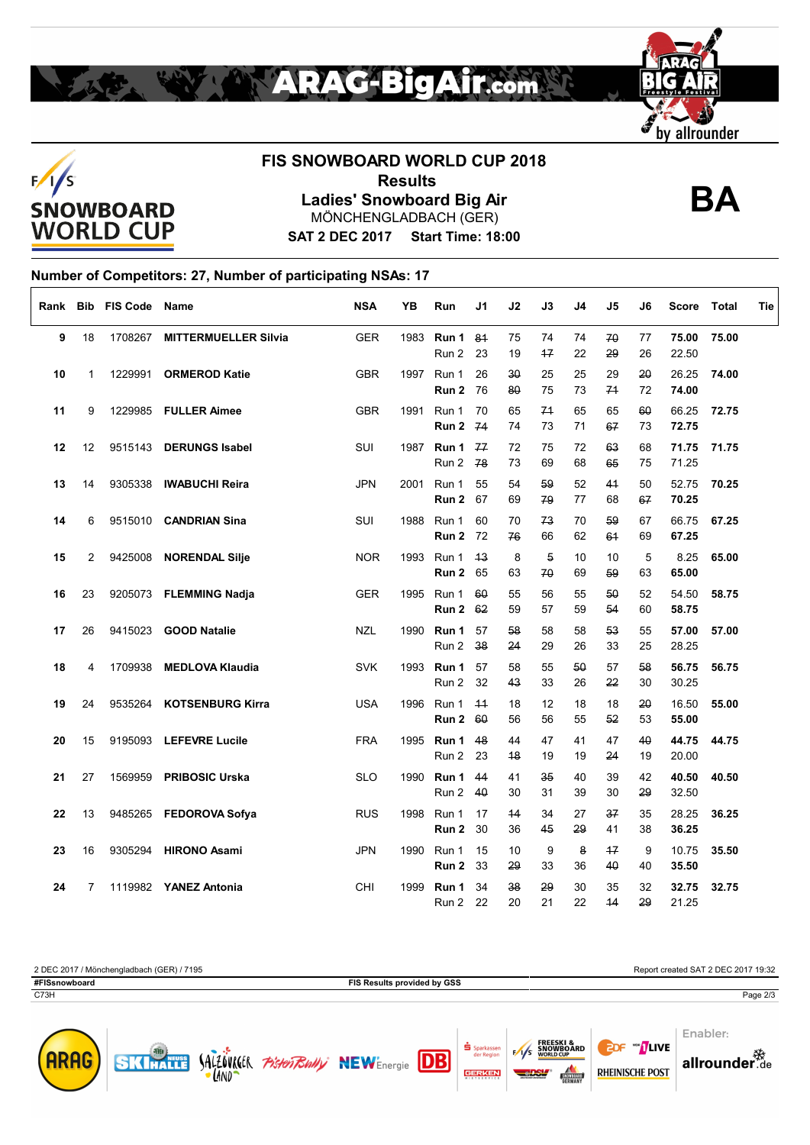





# **FIS SNOWBOARD WORLD CUP 2018 Results Ladies' Snowboard Big Air** MÖNCHENGLADBACH (GER) **BA**



**SAT 2 DEC 2017 Start Time: 18:00**

### **Number of Competitors: 27, Number of participating NSAs: 17**

| Rank |    | <b>Bib FIS Code Name</b> |                             | <b>NSA</b> | YΒ   | Run            | J1         | J <sub>2</sub> | J3         | J4       | J5                | J6       | Score          | Total | Tie |
|------|----|--------------------------|-----------------------------|------------|------|----------------|------------|----------------|------------|----------|-------------------|----------|----------------|-------|-----|
| 9    | 18 | 1708267                  | <b>MITTERMUELLER Silvia</b> | <b>GER</b> | 1983 | Run 1<br>Run 2 | 81<br>23   | 75<br>19       | 74<br>$+7$ | 74<br>22 | 70<br>29          | 77<br>26 | 75.00<br>22.50 | 75.00 |     |
| 10   | 1  | 1229991                  | <b>ORMEROD Katie</b>        | <b>GBR</b> | 1997 | Run 1<br>Run 2 | 26<br>76   | 30<br>80       | 25<br>75   | 25<br>73 | 29<br>74          | 20<br>72 | 26.25<br>74.00 | 74.00 |     |
| 11   | 9  |                          | 1229985 FULLER Aimee        | <b>GBR</b> | 1991 | Run 1<br>Run 2 | 70<br>74   | 65<br>74       | 74<br>73   | 65<br>71 | 65<br>67          | 60<br>73 | 66.25<br>72.75 | 72.75 |     |
| 12   | 12 | 9515143                  | <b>DERUNGS Isabel</b>       | SUI        | 1987 | Run 1<br>Run 2 | 77<br>78   | 72<br>73       | 75<br>69   | 72<br>68 | 63<br>65          | 68<br>75 | 71.75<br>71.25 | 71.75 |     |
| 13   | 14 |                          | 9305338 IWABUCHI Reira      | <b>JPN</b> | 2001 | Run 1<br>Run 2 | 55<br>67   | 54<br>69       | 59<br>79   | 52<br>77 | 44<br>68          | 50<br>67 | 52.75<br>70.25 | 70.25 |     |
| 14   | 6  |                          | 9515010 CANDRIAN Sina       | SUI        | 1988 | Run 1<br>Run 2 | 60<br>72   | 70<br>76       | 73<br>66   | 70<br>62 | 59<br>64          | 67<br>69 | 66.75<br>67.25 | 67.25 |     |
| 15   | 2  |                          | 9425008 NORENDAL Silje      | <b>NOR</b> | 1993 | Run 1<br>Run 2 | 43<br>65   | 8<br>63        | 5<br>70    | 10<br>69 | 10<br>59          | 5<br>63  | 8.25<br>65.00  | 65.00 |     |
| 16   | 23 |                          | 9205073 FLEMMING Nadja      | <b>GER</b> | 1995 | Run 1<br>Run 2 | 60<br>62   | 55<br>59       | 56<br>57   | 55<br>59 | 50<br>54          | 52<br>60 | 54.50<br>58.75 | 58.75 |     |
| 17   | 26 | 9415023                  | <b>GOOD Natalie</b>         | <b>NZL</b> | 1990 | Run 1<br>Run 2 | 57<br>38   | 58<br>24       | 58<br>29   | 58<br>26 | 53<br>33          | 55<br>25 | 57.00<br>28.25 | 57.00 |     |
| 18   | 4  | 1709938                  | <b>MEDLOVA Klaudia</b>      | <b>SVK</b> | 1993 | Run 1<br>Run 2 | 57<br>32   | 58<br>43       | 55<br>33   | 50<br>26 | 57<br>22          | 58<br>30 | 56.75<br>30.25 | 56.75 |     |
| 19   | 24 |                          | 9535264 KOTSENBURG Kirra    | <b>USA</b> | 1996 | Run 1<br>Run 2 | $+4$<br>60 | 18<br>56       | 12<br>56   | 18<br>55 | 18<br>52          | 20<br>53 | 16.50<br>55.00 | 55.00 |     |
| 20   | 15 |                          | 9195093 LEFEVRE Lucile      | <b>FRA</b> | 1995 | Run 1<br>Run 2 | 48<br>23   | 44<br>48       | 47<br>19   | 41<br>19 | 47<br>24          | 40<br>19 | 44.75<br>20.00 | 44.75 |     |
| 21   | 27 | 1569959                  | <b>PRIBOSIC Urska</b>       | <b>SLO</b> | 1990 | Run 1<br>Run 2 | 44<br>40   | 41<br>30       | 35<br>31   | 40<br>39 | 39<br>30          | 42<br>29 | 40.50<br>32.50 | 40.50 |     |
| 22   | 13 |                          | 9485265 FEDOROVA Sofya      | <b>RUS</b> | 1998 | Run 1<br>Run 2 | 17<br>30   | 44<br>36       | 34<br>45   | 27<br>29 | 37<br>41          | 35<br>38 | 28.25<br>36.25 | 36.25 |     |
| 23   | 16 | 9305294                  | <b>HIRONO Asami</b>         | <b>JPN</b> | 1990 | Run 1<br>Run 2 | 15<br>33   | 10<br>29       | 9<br>33    | 8<br>36  | $+7$<br>$4\theta$ | 9<br>40  | 10.75<br>35.50 | 35.50 |     |
| 24   | 7  |                          | 1119982 YANEZ Antonia       | CHI        | 1999 | Run 1<br>Run 2 | 34<br>22   | 38<br>20       | 29<br>21   | 30<br>22 | 35<br>14          | 32<br>29 | 32.75<br>21.25 | 32.75 |     |

2 DEC 2017 / Mönchengladbach (GER) / 7195 Report created SAT 2 DEC 2017 19:32 **#FISsnowboard FIS Results provided by GSS** C73H Page 2/3Enabler: **EDF "NUVE** 





SALZOVKIER PISTERING